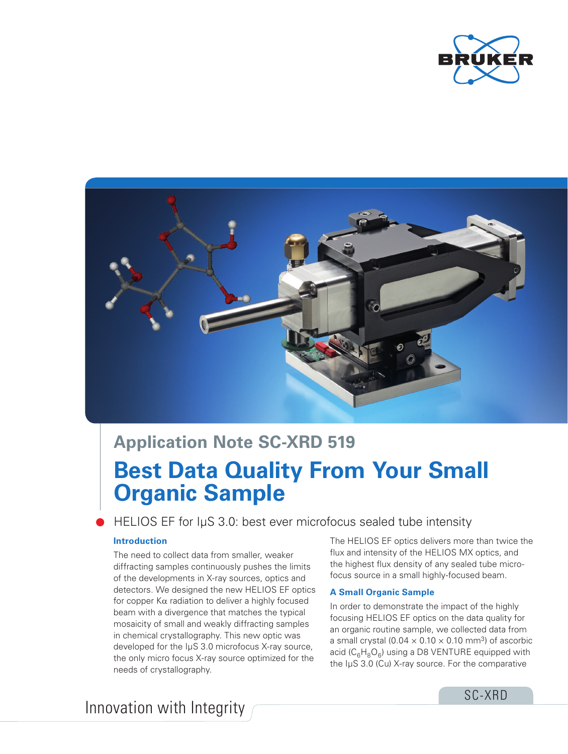



# **Best Data Quality From Your Small Organic Sample Application Note SC-XRD 519**

HELIOS EF for IμS 3.0: best ever microfocus sealed tube intensity

## **Introduction**

The need to collect data from smaller, weaker diffracting samples continuously pushes the limits of the developments in X-ray sources, optics and detectors. We designed the new HELIOS EF optics for copper  $K\alpha$  radiation to deliver a highly focused beam with a divergence that matches the typical mosaicity of small and weakly diffracting samples in chemical crystallography. This new optic was developed for the IµS 3.0 microfocus X-ray source, the only micro focus X-ray source optimized for the needs of crystallography.

The HELIOS EF optics delivers more than twice the flux and intensity of the HELIOS MX optics, and the highest flux density of any sealed tube microfocus source in a small highly-focused beam.

## **A Small Organic Sample**

In order to demonstrate the impact of the highly focusing HELIOS EF optics on the data quality for an organic routine sample, we collected data from a small crystal (0.04  $\times$  0.10  $\times$  0.10 mm<sup>3</sup>) of ascorbic acid ( $C_6H_8O_6$ ) using a D8 VENTURE equipped with the IµS 3.0 (Cu) X-ray source. For the comparative

Innovation with Integrity